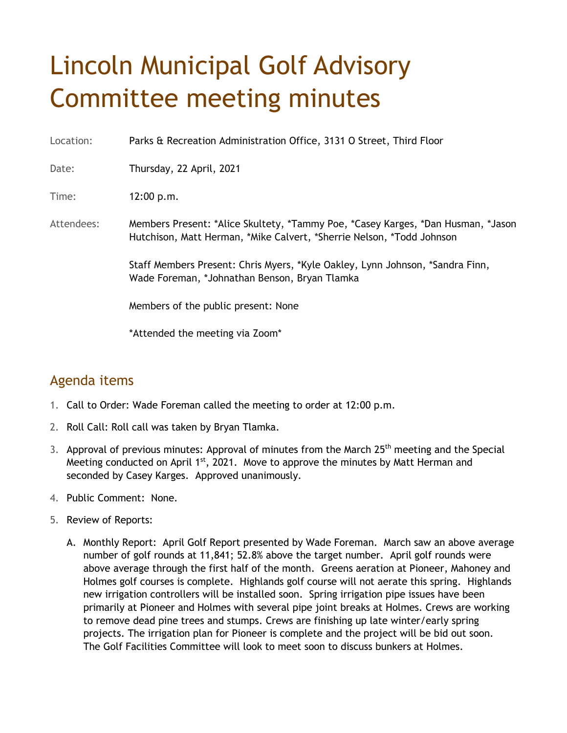## Lincoln Municipal Golf Advisory Committee meeting minutes

Location: Parks & Recreation Administration Office, 3131 O Street, Third Floor

Date: Thursday, 22 April, 2021

Time: 12:00 p.m.

Attendees: Members Present: \*Alice Skultety, \*Tammy Poe, \*Casey Karges, \*Dan Husman, \*Jason Hutchison, Matt Herman, \*Mike Calvert, \*Sherrie Nelson, \*Todd Johnson

> Staff Members Present: Chris Myers, \*Kyle Oakley, Lynn Johnson, \*Sandra Finn, Wade Foreman, \*Johnathan Benson, Bryan Tlamka

Members of the public present: None

\*Attended the meeting via Zoom\*

## Agenda items

- 1. Call to Order: Wade Foreman called the meeting to order at 12:00 p.m.
- 2. Roll Call: Roll call was taken by Bryan Tlamka.
- 3. Approval of previous minutes: Approval of minutes from the March 25<sup>th</sup> meeting and the Special Meeting conducted on April  $1<sup>st</sup>$ , 2021. Move to approve the minutes by Matt Herman and seconded by Casey Karges. Approved unanimously.
- 4. Public Comment: None.
- 5. Review of Reports:
	- A. Monthly Report: April Golf Report presented by Wade Foreman. March saw an above average number of golf rounds at 11,841; 52.8% above the target number. April golf rounds were above average through the first half of the month. Greens aeration at Pioneer, Mahoney and Holmes golf courses is complete. Highlands golf course will not aerate this spring. Highlands new irrigation controllers will be installed soon. Spring irrigation pipe issues have been primarily at Pioneer and Holmes with several pipe joint breaks at Holmes. Crews are working to remove dead pine trees and stumps. Crews are finishing up late winter/early spring projects. The irrigation plan for Pioneer is complete and the project will be bid out soon. The Golf Facilities Committee will look to meet soon to discuss bunkers at Holmes.